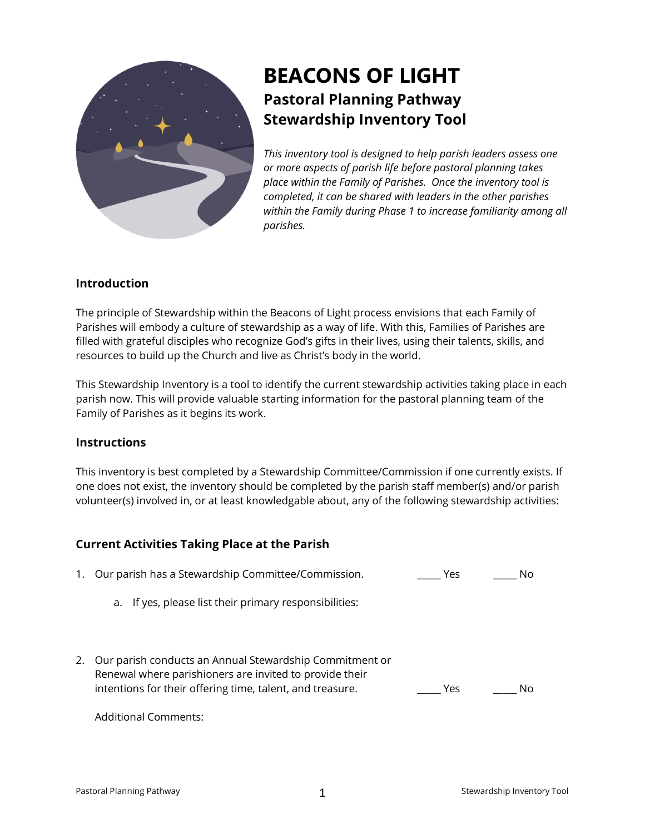

# **BEACONS OF LIGHT Pastoral Planning Pathway Stewardship Inventory Tool**

*This inventory tool is designed to help parish leaders assess one or more aspects of parish life before pastoral planning takes place within the Family of Parishes. Once the inventory tool is completed, it can be shared with leaders in the other parishes within the Family during Phase 1 to increase familiarity among all parishes.*

## **Introduction**

The principle of Stewardship within the Beacons of Light process envisions that each Family of Parishes will embody a culture of stewardship as a way of life. With this, Families of Parishes are filled with grateful disciples who recognize God's gifts in their lives, using their talents, skills, and resources to build up the Church and live as Christ's body in the world.

This Stewardship Inventory is a tool to identify the current stewardship activities taking place in each parish now. This will provide valuable starting information for the pastoral planning team of the Family of Parishes as it begins its work.

#### **Instructions**

This inventory is best completed by a Stewardship Committee/Commission if one currently exists. If one does not exist, the inventory should be completed by the parish staff member(s) and/or parish volunteer(s) involved in, or at least knowledgable about, any of the following stewardship activities:

## **Current Activities Taking Place at the Parish**

| 1. | Our parish has a Stewardship Committee/Commission.                                                                                                                              | Yes | No |
|----|---------------------------------------------------------------------------------------------------------------------------------------------------------------------------------|-----|----|
|    | a. If yes, please list their primary responsibilities:                                                                                                                          |     |    |
| 2. | Our parish conducts an Annual Stewardship Commitment or<br>Renewal where parishioners are invited to provide their<br>intentions for their offering time, talent, and treasure. | Yes |    |

Additional Comments: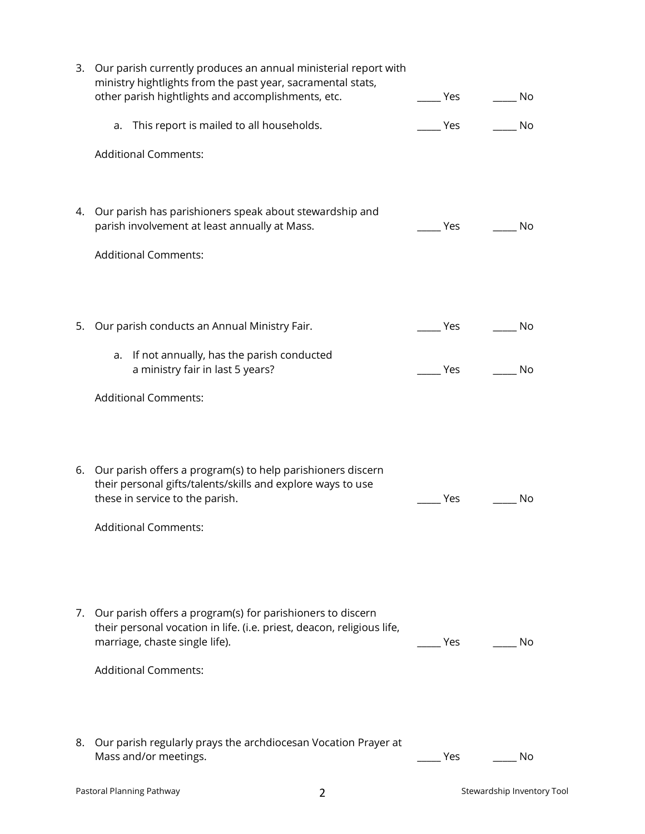| 3. | Our parish currently produces an annual ministerial report with<br>ministry hightlights from the past year, sacramental stats,<br>other parish hightlights and accomplishments, etc. | Yes | No |
|----|--------------------------------------------------------------------------------------------------------------------------------------------------------------------------------------|-----|----|
|    | a. This report is mailed to all households.                                                                                                                                          | Yes | No |
|    | <b>Additional Comments:</b>                                                                                                                                                          |     |    |
|    | 4. Our parish has parishioners speak about stewardship and<br>parish involvement at least annually at Mass.                                                                          | Yes | No |
|    | <b>Additional Comments:</b>                                                                                                                                                          |     |    |
| 5. | Our parish conducts an Annual Ministry Fair.                                                                                                                                         | Yes | No |
|    | a. If not annually, has the parish conducted<br>a ministry fair in last 5 years?                                                                                                     | Yes | No |
|    | <b>Additional Comments:</b>                                                                                                                                                          |     |    |
|    | 6. Our parish offers a program(s) to help parishioners discern<br>their personal gifts/talents/skills and explore ways to use<br>these in service to the parish.                     | Yes | No |
|    | <b>Additional Comments:</b>                                                                                                                                                          |     |    |
| 7. | Our parish offers a program(s) for parishioners to discern<br>their personal vocation in life. (i.e. priest, deacon, religious life,<br>marriage, chaste single life).               | Yes | No |
|    | <b>Additional Comments:</b>                                                                                                                                                          |     |    |
| 8. | Our parish regularly prays the archdiocesan Vocation Prayer at<br>Mass and/or meetings.                                                                                              | Yes | No |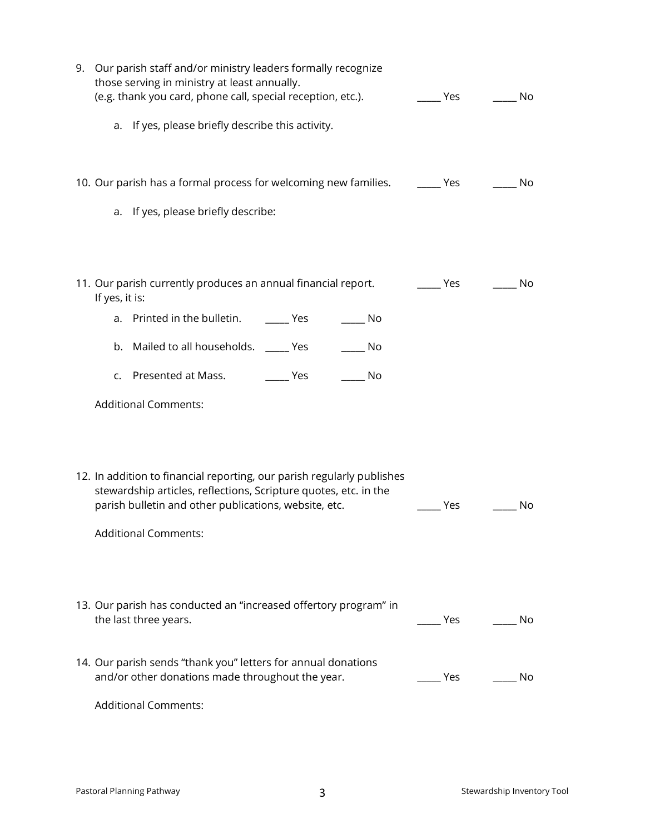| 9. Our parish staff and/or ministry leaders formally recognize<br>those serving in ministry at least annually.<br>(e.g. thank you card, phone call, special reception, etc.).                       | Yes | No |
|-----------------------------------------------------------------------------------------------------------------------------------------------------------------------------------------------------|-----|----|
| a. If yes, please briefly describe this activity.                                                                                                                                                   |     |    |
| 10. Our parish has a formal process for welcoming new families.                                                                                                                                     | Yes | No |
| a. If yes, please briefly describe:                                                                                                                                                                 |     |    |
| 11. Our parish currently produces an annual financial report.<br>If yes, it is:                                                                                                                     | Yes | No |
| a. Printed in the bulletin. ________ Yes<br>in No                                                                                                                                                   |     |    |
| b. Mailed to all households. ______ Yes<br>No                                                                                                                                                       |     |    |
| c. Presented at Mass.<br><b>Press</b><br>- No                                                                                                                                                       |     |    |
| <b>Additional Comments:</b>                                                                                                                                                                         |     |    |
| 12. In addition to financial reporting, our parish regularly publishes<br>stewardship articles, reflections, Scripture quotes, etc. in the<br>parish bulletin and other publications, website, etc. | Yes | No |
| <b>Additional Comments:</b>                                                                                                                                                                         |     |    |
| 13. Our parish has conducted an "increased offertory program" in<br>the last three years.                                                                                                           | Yes | No |
| 14. Our parish sends "thank you" letters for annual donations<br>and/or other donations made throughout the year.                                                                                   | Yes | No |
| <b>Additional Comments:</b>                                                                                                                                                                         |     |    |